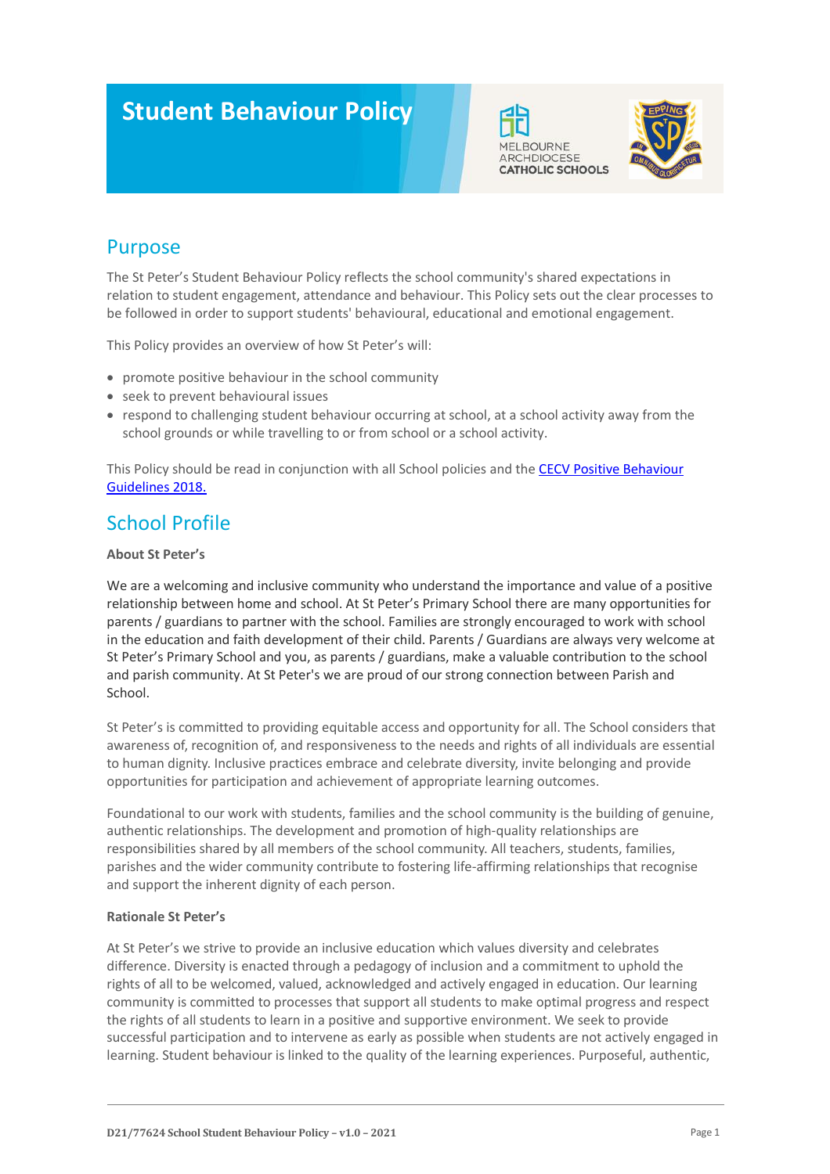# **Student Behaviour Policy**





# Purpose

The St Peter's Student Behaviour Policy reflects the school community's shared expectations in relation to student engagement, attendance and behaviour. This Policy sets out the clear processes to be followed in order to support students' behavioural, educational and emotional engagement.

This Policy provides an overview of how St Peter's will:

- promote positive behaviour in the school community
- seek to prevent behavioural issues
- respond to challenging student behaviour occurring at school, at a school activity away from the school grounds or while travelling to or from school or a school activity.

This Policy should be read in conjunction with all School policies and the [CECV Positive Behaviour](https://www.cecv.catholic.edu.au/getmedia/bc1d235d-9a98-4bb4-b3ac-84b50fa7c639/CECV-Positive-Behaviour-Guidelines_FINAL2.aspx?ext=.pdf)  [Guidelines 2018.](https://www.cecv.catholic.edu.au/getmedia/bc1d235d-9a98-4bb4-b3ac-84b50fa7c639/CECV-Positive-Behaviour-Guidelines_FINAL2.aspx?ext=.pdf)

# School Profile

### **About St Peter's**

We are a welcoming and inclusive community who understand the importance and value of a positive relationship between home and school. At St Peter's Primary School there are many opportunities for parents / guardians to partner with the school. Families are strongly encouraged to work with school in the education and faith development of their child. Parents / Guardians are always very welcome at St Peter's Primary School and you, as parents / guardians, make a valuable contribution to the school and parish community. At St Peter's we are proud of our strong connection between Parish and School.

St Peter's is committed to providing equitable access and opportunity for all. The School considers that awareness of, recognition of, and responsiveness to the needs and rights of all individuals are essential to human dignity. Inclusive practices embrace and celebrate diversity, invite belonging and provide opportunities for participation and achievement of appropriate learning outcomes.

Foundational to our work with students, families and the school community is the building of genuine, authentic relationships. The development and promotion of high-quality relationships are responsibilities shared by all members of the school community. All teachers, students, families, parishes and the wider community contribute to fostering life-affirming relationships that recognise and support the inherent dignity of each person.

### **Rationale St Peter's**

At St Peter's we strive to provide an inclusive education which values diversity and celebrates difference. Diversity is enacted through a pedagogy of inclusion and a commitment to uphold the rights of all to be welcomed, valued, acknowledged and actively engaged in education. Our learning community is committed to processes that support all students to make optimal progress and respect the rights of all students to learn in a positive and supportive environment. We seek to provide successful participation and to intervene as early as possible when students are not actively engaged in learning. Student behaviour is linked to the quality of the learning experiences. Purposeful, authentic,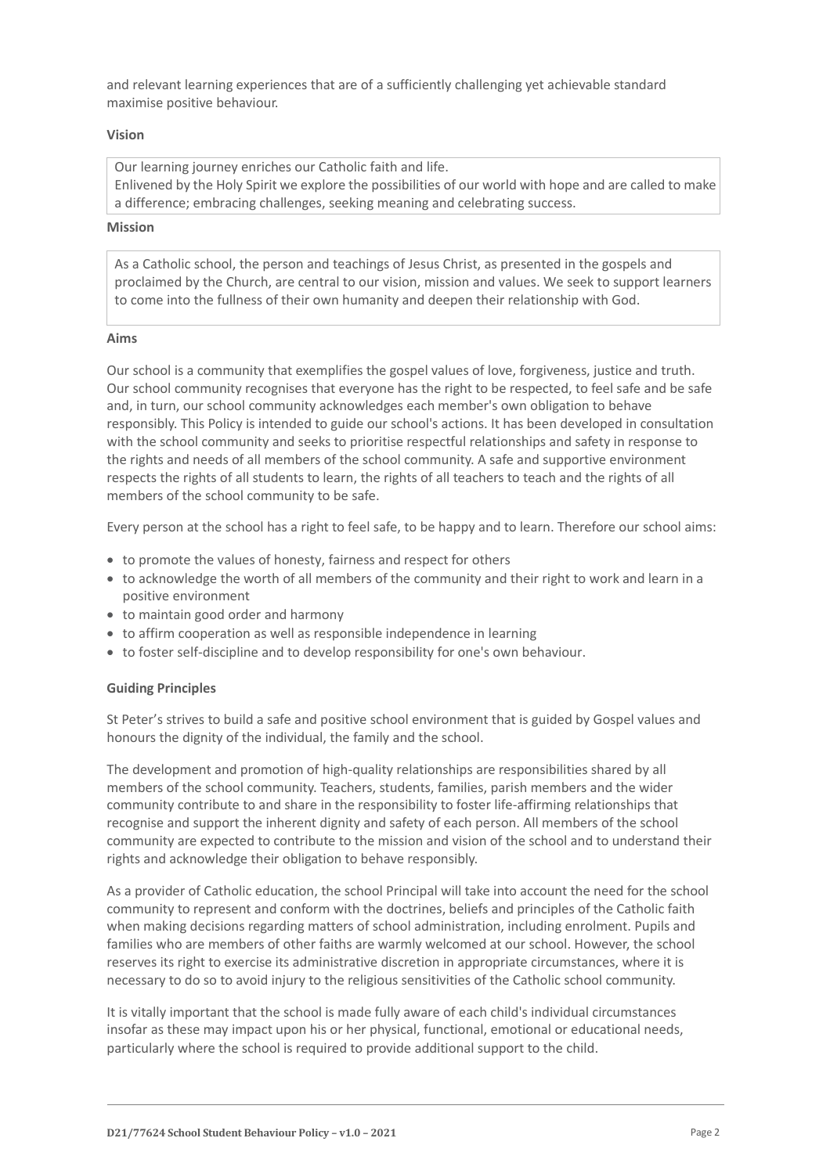and relevant learning experiences that are of a sufficiently challenging yet achievable standard maximise positive behaviour.

#### **Vision**

Our learning journey enriches our Catholic faith and life. Enlivened by the Holy Spirit we explore the possibilities of our world with hope and are called to make a difference; embracing challenges, seeking meaning and celebrating success.

#### **Mission**

As a Catholic school, the person and teachings of Jesus Christ, as presented in the gospels and proclaimed by the Church, are central to our vision, mission and values. We seek to support learners to come into the fullness of their own humanity and deepen their relationship with God.

#### **Aims**

Our school is a community that exemplifies the gospel values of love, forgiveness, justice and truth. Our school community recognises that everyone has the right to be respected, to feel safe and be safe and, in turn, our school community acknowledges each member's own obligation to behave responsibly. This Policy is intended to guide our school's actions. It has been developed in consultation with the school community and seeks to prioritise respectful relationships and safety in response to the rights and needs of all members of the school community. A safe and supportive environment respects the rights of all students to learn, the rights of all teachers to teach and the rights of all members of the school community to be safe.

Every person at the school has a right to feel safe, to be happy and to learn. Therefore our school aims:

- to promote the values of honesty, fairness and respect for others
- to acknowledge the worth of all members of the community and their right to work and learn in a positive environment
- to maintain good order and harmony
- to affirm cooperation as well as responsible independence in learning
- to foster self-discipline and to develop responsibility for one's own behaviour.

#### **Guiding Principles**

St Peter's strives to build a safe and positive school environment that is guided by Gospel values and honours the dignity of the individual, the family and the school.

The development and promotion of high-quality relationships are responsibilities shared by all members of the school community. Teachers, students, families, parish members and the wider community contribute to and share in the responsibility to foster life-affirming relationships that recognise and support the inherent dignity and safety of each person. All members of the school community are expected to contribute to the mission and vision of the school and to understand their rights and acknowledge their obligation to behave responsibly.

As a provider of Catholic education, the school Principal will take into account the need for the school community to represent and conform with the doctrines, beliefs and principles of the Catholic faith when making decisions regarding matters of school administration, including enrolment. Pupils and families who are members of other faiths are warmly welcomed at our school. However, the school reserves its right to exercise its administrative discretion in appropriate circumstances, where it is necessary to do so to avoid injury to the religious sensitivities of the Catholic school community.

It is vitally important that the school is made fully aware of each child's individual circumstances insofar as these may impact upon his or her physical, functional, emotional or educational needs, particularly where the school is required to provide additional support to the child.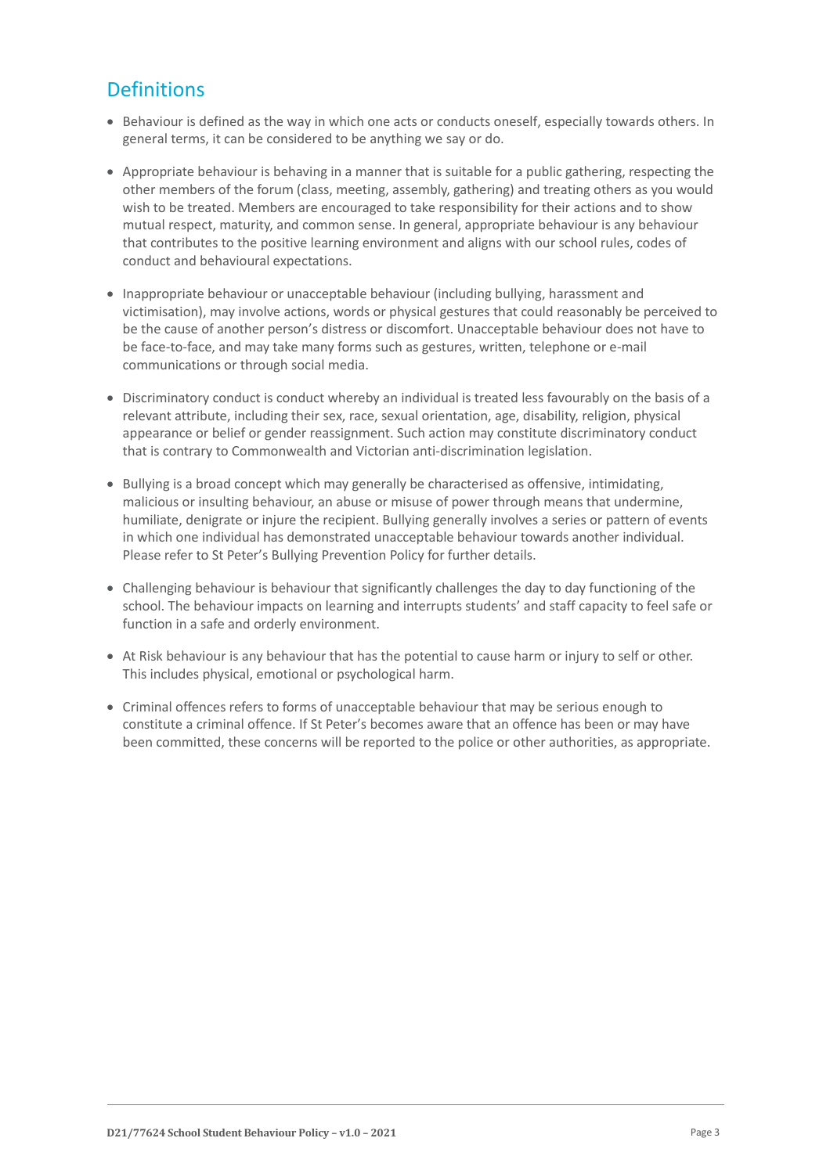# **Definitions**

- Behaviour is defined as the way in which one acts or conducts oneself, especially towards others. In general terms, it can be considered to be anything we say or do.
- Appropriate behaviour is behaving in a manner that is suitable for a public gathering, respecting the other members of the forum (class, meeting, assembly, gathering) and treating others as you would wish to be treated. Members are encouraged to take responsibility for their actions and to show mutual respect, maturity, and common sense. In general, appropriate behaviour is any behaviour that contributes to the positive learning environment and aligns with our school rules, codes of conduct and behavioural expectations.
- Inappropriate behaviour or unacceptable behaviour (including bullying, harassment and victimisation), may involve actions, words or physical gestures that could reasonably be perceived to be the cause of another person's distress or discomfort. Unacceptable behaviour does not have to be face-to-face, and may take many forms such as gestures, written, telephone or e-mail communications or through social media.
- Discriminatory conduct is conduct whereby an individual is treated less favourably on the basis of a relevant attribute, including their sex, race, sexual orientation, age, disability, religion, physical appearance or belief or gender reassignment. Such action may constitute discriminatory conduct that is contrary to Commonwealth and Victorian anti-discrimination legislation.
- Bullying is a broad concept which may generally be characterised as offensive, intimidating, malicious or insulting behaviour, an abuse or misuse of power through means that undermine, humiliate, denigrate or injure the recipient. Bullying generally involves a series or pattern of events in which one individual has demonstrated unacceptable behaviour towards another individual. Please refer to St Peter's Bullying Prevention Policy for further details.
- Challenging behaviour is behaviour that significantly challenges the day to day functioning of the school. The behaviour impacts on learning and interrupts students' and staff capacity to feel safe or function in a safe and orderly environment.
- At Risk behaviour is any behaviour that has the potential to cause harm or injury to self or other. This includes physical, emotional or psychological harm.
- Criminal offences refers to forms of unacceptable behaviour that may be serious enough to constitute a criminal offence. If St Peter's becomes aware that an offence has been or may have been committed, these concerns will be reported to the police or other authorities, as appropriate.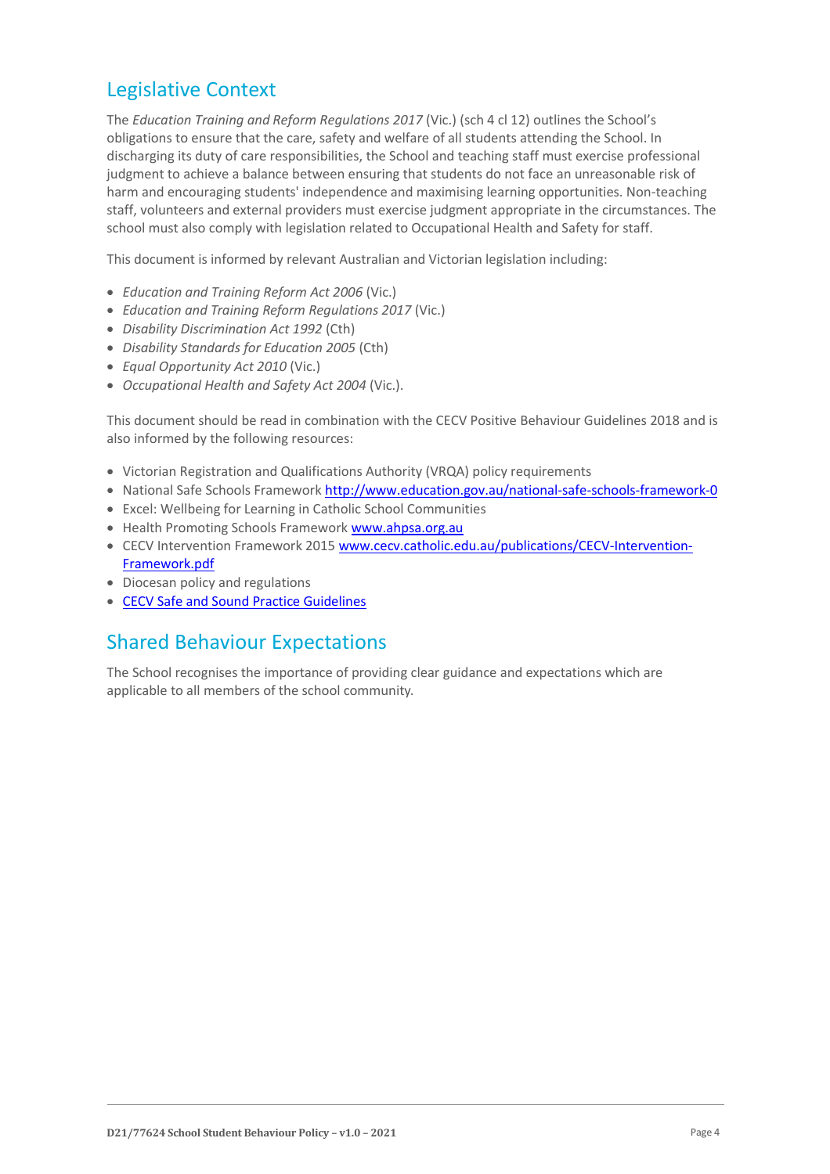### Legislative Context

The *Education Training and Reform Regulations 2017* (Vic.) (sch 4 cl 12) outlines the School's obligations to ensure that the care, safety and welfare of all students attending the School. In discharging its duty of care responsibilities, the School and teaching staff must exercise professional judgment to achieve a balance between ensuring that students do not face an unreasonable risk of harm and encouraging students' independence and maximising learning opportunities. Non-teaching staff, volunteers and external providers must exercise judgment appropriate in the circumstances. The school must also comply with legislation related to Occupational Health and Safety for staff.

This document is informed by relevant Australian and Victorian legislation including:

- *Education and Training Reform Act 2006* (Vic.)
- *Education and Training Reform Regulations 2017* (Vic.)
- *Disability Discrimination Act 1992* (Cth)
- *Disability Standards for Education 2005* (Cth)
- *Equal Opportunity Act 2010* (Vic.)
- *Occupational Health and Safety Act 2004* (Vic.).

This document should be read in combination with the CECV Positive Behaviour Guidelines 2018 and is also informed by the following resources:

- Victorian Registration and Qualifications Authority (VRQA) policy requirements
- National Safe Schools Framework<http://www.education.gov.au/national-safe-schools-framework-0>
- Excel: Wellbeing for Learning in Catholic School Communities
- Health Promoting Schools Framewor[k www.ahpsa.org.au](http://www.ahpsa.org.au/)
- CECV Intervention Framework 201[5 www.cecv.catholic.edu.au/publications/CECV-Intervention-](http://www.cecv.catholic.edu.au/publications/CECV-Intervention-Framework.pdf)[Framework.pdf](http://www.cecv.catholic.edu.au/publications/CECV-Intervention-Framework.pdf)
- Diocesan policy and regulations
- [CECV Safe and Sound Practice Guidelines](https://www.cecv.catholic.edu.au/getmedia/bad5e328-b5f9-4742-a66c-0c7f20ae21ff/Safe-and-Sound-Practice-Guidelines.aspx)

### Shared Behaviour Expectations

The School recognises the importance of providing clear guidance and expectations which are applicable to all members of the school community.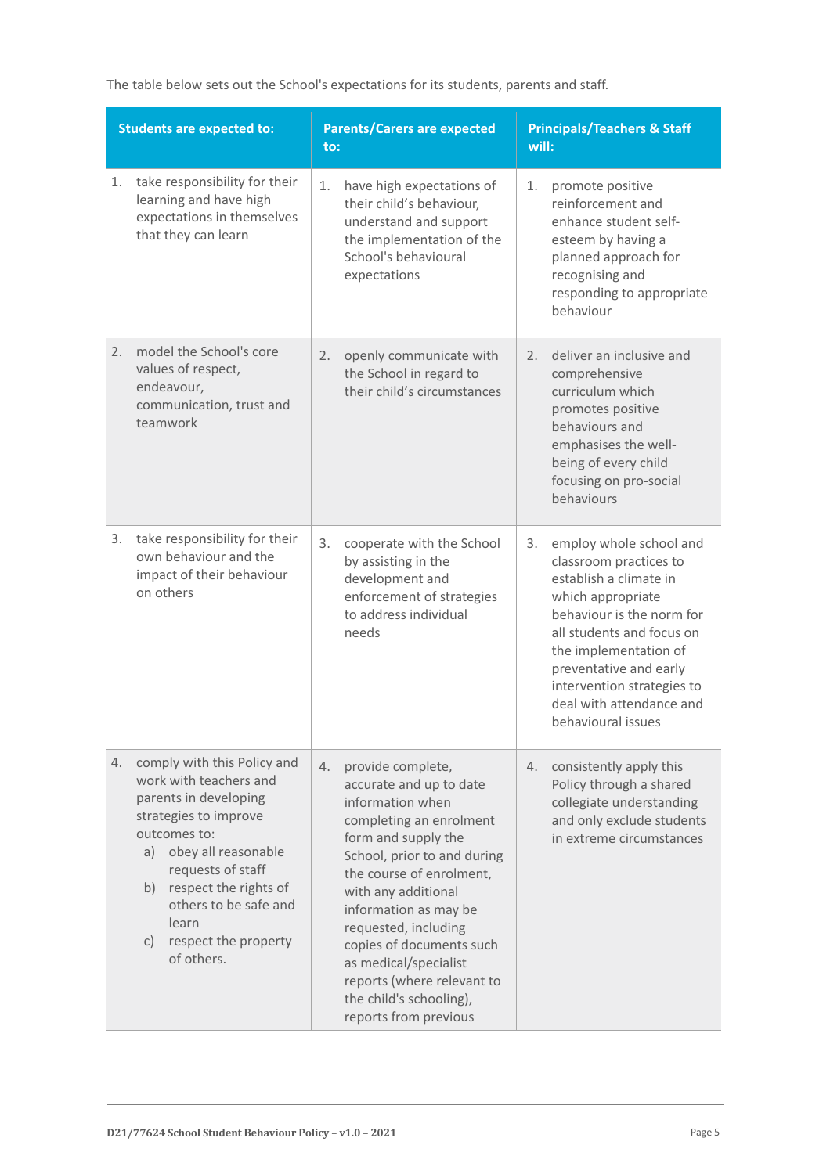The table below sets out the School's expectations for its students, parents and staff.

| <b>Students are expected to:</b> |                                                                                                                                                                                                                                                                                  | <b>Parents/Carers are expected</b><br>to:                                                                                                                                                                                                                                                                                                                                                          | <b>Principals/Teachers &amp; Staff</b><br>will:                                                                                                                                                                                                                                                     |  |
|----------------------------------|----------------------------------------------------------------------------------------------------------------------------------------------------------------------------------------------------------------------------------------------------------------------------------|----------------------------------------------------------------------------------------------------------------------------------------------------------------------------------------------------------------------------------------------------------------------------------------------------------------------------------------------------------------------------------------------------|-----------------------------------------------------------------------------------------------------------------------------------------------------------------------------------------------------------------------------------------------------------------------------------------------------|--|
| 1.                               | take responsibility for their<br>learning and have high<br>expectations in themselves<br>that they can learn                                                                                                                                                                     | 1.<br>have high expectations of<br>their child's behaviour,<br>understand and support<br>the implementation of the<br>School's behavioural<br>expectations                                                                                                                                                                                                                                         | 1.<br>promote positive<br>reinforcement and<br>enhance student self-<br>esteem by having a<br>planned approach for<br>recognising and<br>responding to appropriate<br>behaviour                                                                                                                     |  |
| 2.                               | model the School's core<br>values of respect,<br>endeavour,<br>communication, trust and<br>teamwork                                                                                                                                                                              | openly communicate with<br>2.<br>the School in regard to<br>their child's circumstances                                                                                                                                                                                                                                                                                                            | deliver an inclusive and<br>2.<br>comprehensive<br>curriculum which<br>promotes positive<br>behaviours and<br>emphasises the well-<br>being of every child<br>focusing on pro-social<br>behaviours                                                                                                  |  |
| 3.                               | take responsibility for their<br>own behaviour and the<br>impact of their behaviour<br>on others                                                                                                                                                                                 | 3.<br>cooperate with the School<br>by assisting in the<br>development and<br>enforcement of strategies<br>to address individual<br>needs                                                                                                                                                                                                                                                           | employ whole school and<br>3.<br>classroom practices to<br>establish a climate in<br>which appropriate<br>behaviour is the norm for<br>all students and focus on<br>the implementation of<br>preventative and early<br>intervention strategies to<br>deal with attendance and<br>behavioural issues |  |
| 4.                               | comply with this Policy and<br>work with teachers and<br>parents in developing<br>strategies to improve<br>outcomes to:<br>a) obey all reasonable<br>requests of staff<br>b) respect the rights of<br>others to be safe and<br>learn<br>respect the property<br>C)<br>of others. | provide complete,<br>4.<br>accurate and up to date<br>information when<br>completing an enrolment<br>form and supply the<br>School, prior to and during<br>the course of enrolment,<br>with any additional<br>information as may be<br>requested, including<br>copies of documents such<br>as medical/specialist<br>reports (where relevant to<br>the child's schooling),<br>reports from previous | consistently apply this<br>4.<br>Policy through a shared<br>collegiate understanding<br>and only exclude students<br>in extreme circumstances                                                                                                                                                       |  |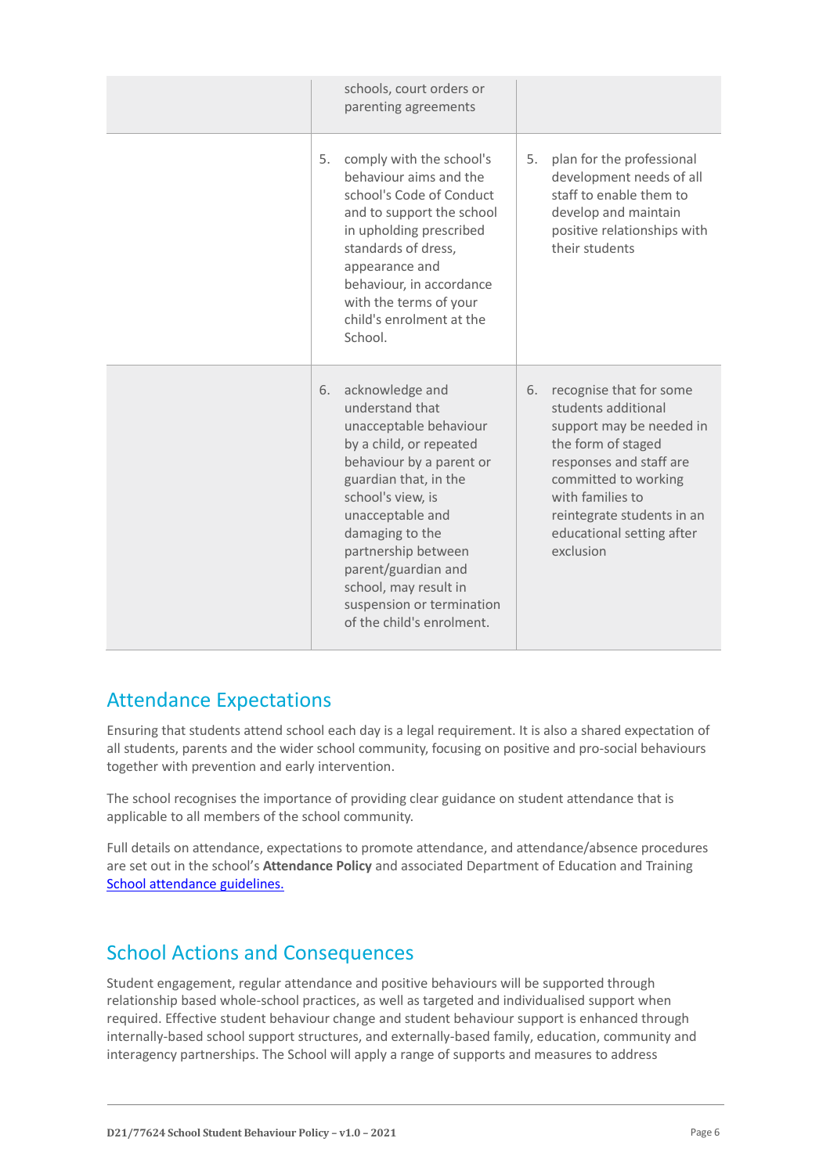|    | schools, court orders or<br>parenting agreements                                                                                                                                                                                                                                                                                          |    |                                                                                                                                                                                                                                                 |
|----|-------------------------------------------------------------------------------------------------------------------------------------------------------------------------------------------------------------------------------------------------------------------------------------------------------------------------------------------|----|-------------------------------------------------------------------------------------------------------------------------------------------------------------------------------------------------------------------------------------------------|
| 5. | comply with the school's<br>behaviour aims and the<br>school's Code of Conduct<br>and to support the school<br>in upholding prescribed<br>standards of dress,<br>appearance and<br>behaviour, in accordance<br>with the terms of your<br>child's enrolment at the<br>School.                                                              | 5. | plan for the professional<br>development needs of all<br>staff to enable them to<br>develop and maintain<br>positive relationships with<br>their students                                                                                       |
| 6. | acknowledge and<br>understand that<br>unacceptable behaviour<br>by a child, or repeated<br>behaviour by a parent or<br>guardian that, in the<br>school's view, is<br>unacceptable and<br>damaging to the<br>partnership between<br>parent/guardian and<br>school, may result in<br>suspension or termination<br>of the child's enrolment. | 6. | recognise that for some<br>students additional<br>support may be needed in<br>the form of staged<br>responses and staff are<br>committed to working<br>with families to<br>reintegrate students in an<br>educational setting after<br>exclusion |

# Attendance Expectations

Ensuring that students attend school each day is a legal requirement. It is also a shared expectation of all students, parents and the wider school community, focusing on positive and pro-social behaviours together with prevention and early intervention.

The school recognises the importance of providing clear guidance on student attendance that is applicable to all members of the school community.

Full details on attendance, expectations to promote attendance, and attendance/absence procedures are set out in the school's **Attendance Policy** and associated Department of Education and Training [School attendance guidelines.](https://www2.education.vic.gov.au/pal/attendance/guidance)

# School Actions and Consequences

Student engagement, regular attendance and positive behaviours will be supported through relationship based whole-school practices, as well as targeted and individualised support when required. Effective student behaviour change and student behaviour support is enhanced through internally-based school support structures, and externally-based family, education, community and interagency partnerships. The School will apply a range of supports and measures to address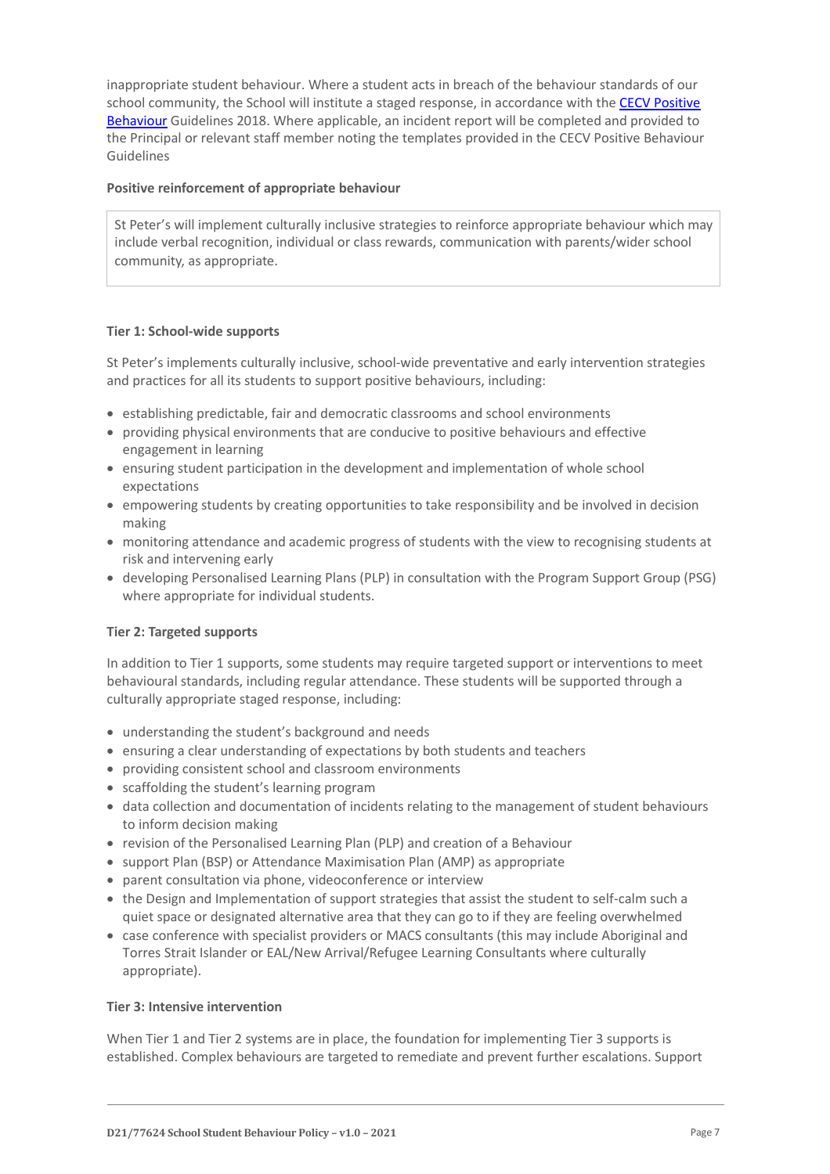inappropriate student behaviour. Where a student acts in breach of the behaviour standards of our school community, the School will institute a staged response, in accordance with the [CECV Positive](https://www.cecv.catholic.edu.au/getmedia/bc1d235d-9a98-4bb4-b3ac-84b50fa7c639/CECV-Positive-Behaviour-Guidelines_FINAL2.aspx?ext=.pdf)  [Behaviour](https://www.cecv.catholic.edu.au/getmedia/bc1d235d-9a98-4bb4-b3ac-84b50fa7c639/CECV-Positive-Behaviour-Guidelines_FINAL2.aspx?ext=.pdf) Guidelines 2018. Where applicable, an incident report will be completed and provided to the Principal or relevant staff member noting the templates provided in the CECV Positive Behaviour Guidelines

### **Positive reinforcement of appropriate behaviour**

St Peter's will implement culturally inclusive strategies to reinforce appropriate behaviour which may include verbal recognition, individual or class rewards, communication with parents/wider school community, as appropriate.

### **Tier 1: School-wide supports**

St Peter's implements culturally inclusive, school-wide preventative and early intervention strategies and practices for all its students to support positive behaviours, including:

- establishing predictable, fair and democratic classrooms and school environments
- providing physical environments that are conducive to positive behaviours and effective engagement in learning
- ensuring student participation in the development and implementation of whole school expectations
- empowering students by creating opportunities to take responsibility and be involved in decision making
- monitoring attendance and academic progress of students with the view to recognising students at risk and intervening early
- developing Personalised Learning Plans (PLP) in consultation with the Program Support Group (PSG) where appropriate for individual students.

#### **Tier 2: Targeted supports**

In addition to Tier 1 supports, some students may require targeted support or interventions to meet behavioural standards, including regular attendance. These students will be supported through a culturally appropriate staged response, including:

- understanding the student's background and needs
- ensuring a clear understanding of expectations by both students and teachers
- providing consistent school and classroom environments
- scaffolding the student's learning program
- data collection and documentation of incidents relating to the management of student behaviours to inform decision making
- revision of the Personalised Learning Plan (PLP) and creation of a Behaviour
- support Plan (BSP) or Attendance Maximisation Plan (AMP) as appropriate
- parent consultation via phone, videoconference or interview
- the Design and Implementation of support strategies that assist the student to self-calm such a quiet space or designated alternative area that they can go to if they are feeling overwhelmed
- case conference with specialist providers or MACS consultants (this may include Aboriginal and Torres Strait Islander or EAL/New Arrival/Refugee Learning Consultants where culturally appropriate).

#### **Tier 3: Intensive intervention**

When Tier 1 and Tier 2 systems are in place, the foundation for implementing Tier 3 supports is established. Complex behaviours are targeted to remediate and prevent further escalations. Support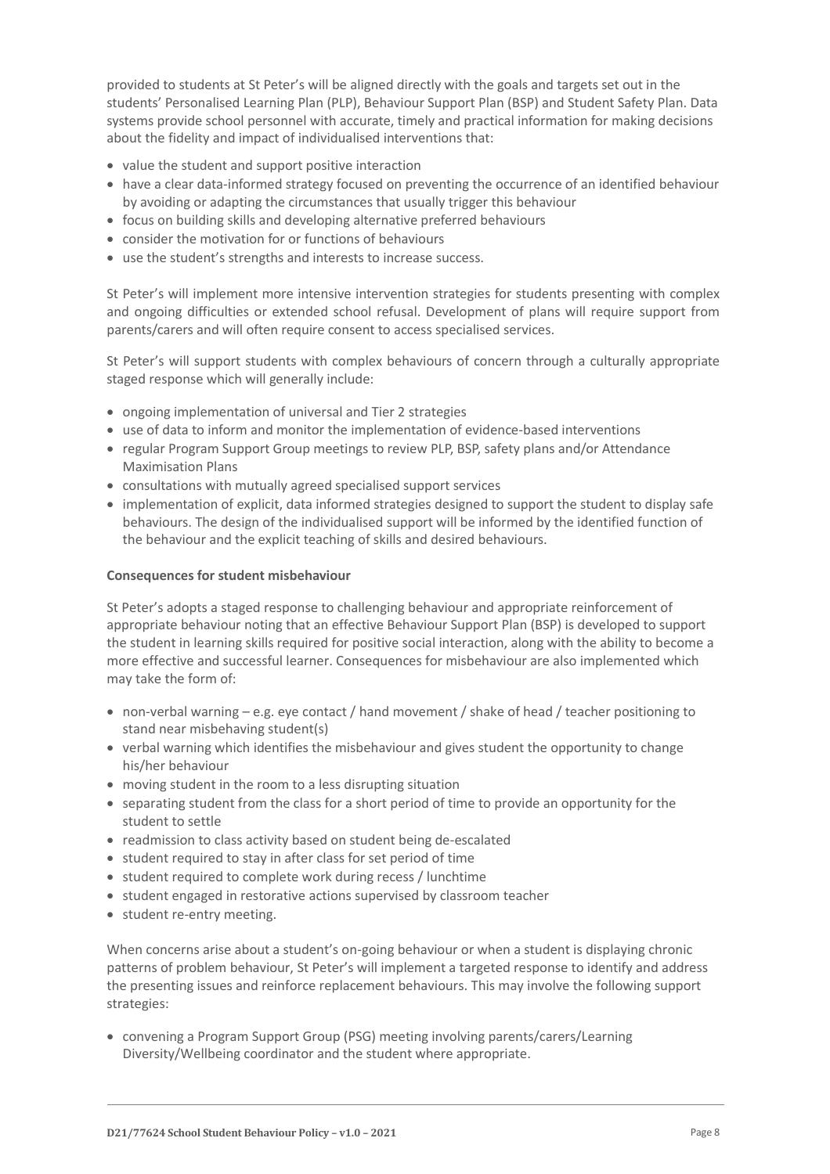provided to students at St Peter's will be aligned directly with the goals and targets set out in the students' Personalised Learning Plan (PLP), Behaviour Support Plan (BSP) and Student Safety Plan. Data systems provide school personnel with accurate, timely and practical information for making decisions about the fidelity and impact of individualised interventions that:

- value the student and support positive interaction
- have a clear data-informed strategy focused on preventing the occurrence of an identified behaviour by avoiding or adapting the circumstances that usually trigger this behaviour
- focus on building skills and developing alternative preferred behaviours
- consider the motivation for or functions of behaviours
- use the student's strengths and interests to increase success.

St Peter's will implement more intensive intervention strategies for students presenting with complex and ongoing difficulties or extended school refusal. Development of plans will require support from parents/carers and will often require consent to access specialised services.

St Peter's will support students with complex behaviours of concern through a culturally appropriate staged response which will generally include:

- ongoing implementation of universal and Tier 2 strategies
- use of data to inform and monitor the implementation of evidence-based interventions
- regular Program Support Group meetings to review PLP, BSP, safety plans and/or Attendance Maximisation Plans
- consultations with mutually agreed specialised support services
- implementation of explicit, data informed strategies designed to support the student to display safe behaviours. The design of the individualised support will be informed by the identified function of the behaviour and the explicit teaching of skills and desired behaviours.

#### **Consequences for student misbehaviour**

St Peter's adopts a staged response to challenging behaviour and appropriate reinforcement of appropriate behaviour noting that an effective Behaviour Support Plan (BSP) is developed to support the student in learning skills required for positive social interaction, along with the ability to become a more effective and successful learner. Consequences for misbehaviour are also implemented which may take the form of:

- non-verbal warning e.g. eye contact / hand movement / shake of head / teacher positioning to stand near misbehaving student(s)
- verbal warning which identifies the misbehaviour and gives student the opportunity to change his/her behaviour
- moving student in the room to a less disrupting situation
- separating student from the class for a short period of time to provide an opportunity for the student to settle
- readmission to class activity based on student being de-escalated
- student required to stay in after class for set period of time
- student required to complete work during recess / lunchtime
- student engaged in restorative actions supervised by classroom teacher
- student re-entry meeting.

When concerns arise about a student's on-going behaviour or when a student is displaying chronic patterns of problem behaviour, St Peter's will implement a targeted response to identify and address the presenting issues and reinforce replacement behaviours. This may involve the following support strategies:

 convening a Program Support Group (PSG) meeting involving parents/carers/Learning Diversity/Wellbeing coordinator and the student where appropriate.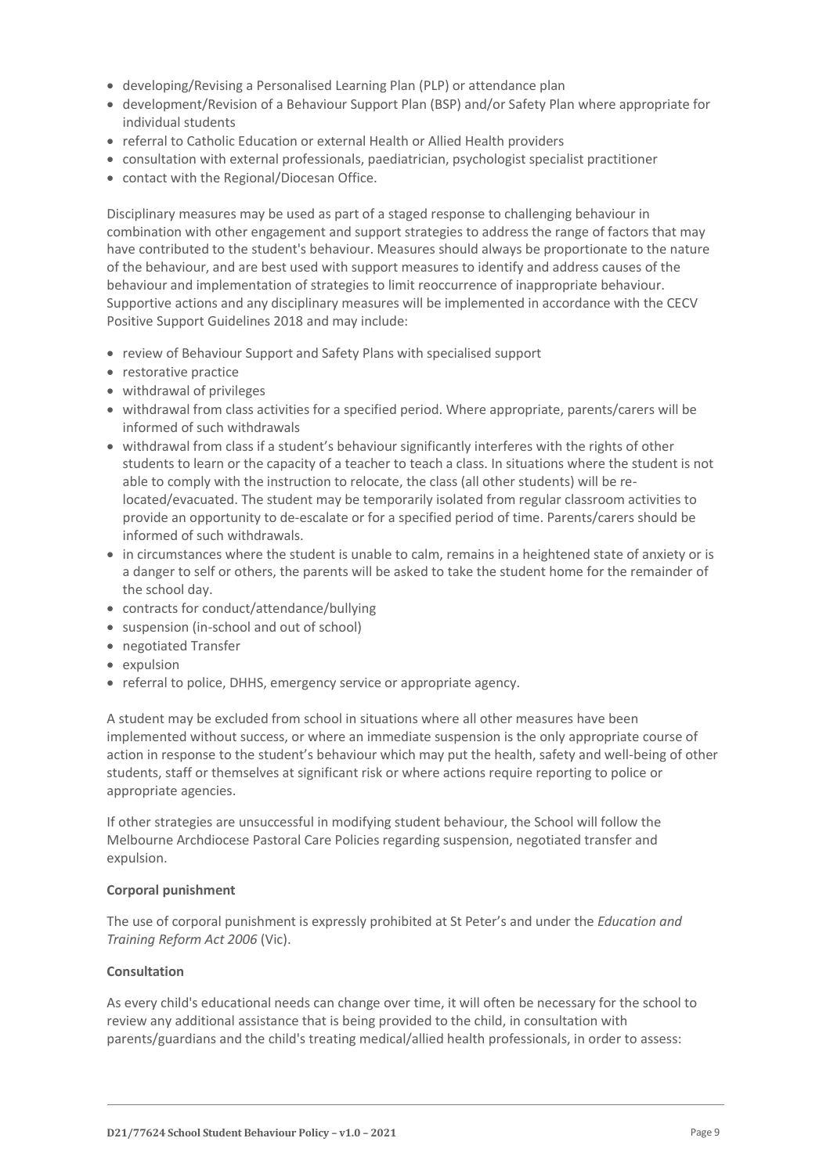- developing/Revising a Personalised Learning Plan (PLP) or attendance plan
- development/Revision of a Behaviour Support Plan (BSP) and/or Safety Plan where appropriate for individual students
- referral to Catholic Education or external Health or Allied Health providers
- consultation with external professionals, paediatrician, psychologist specialist practitioner
- contact with the Regional/Diocesan Office.

Disciplinary measures may be used as part of a staged response to challenging behaviour in combination with other engagement and support strategies to address the range of factors that may have contributed to the student's behaviour. Measures should always be proportionate to the nature of the behaviour, and are best used with support measures to identify and address causes of the behaviour and implementation of strategies to limit reoccurrence of inappropriate behaviour. Supportive actions and any disciplinary measures will be implemented in accordance with the CECV Positive Support Guidelines 2018 and may include:

- review of Behaviour Support and Safety Plans with specialised support
- restorative practice
- withdrawal of privileges
- withdrawal from class activities for a specified period. Where appropriate, parents/carers will be informed of such withdrawals
- withdrawal from class if a student's behaviour significantly interferes with the rights of other students to learn or the capacity of a teacher to teach a class. In situations where the student is not able to comply with the instruction to relocate, the class (all other students) will be relocated/evacuated. The student may be temporarily isolated from regular classroom activities to provide an opportunity to de-escalate or for a specified period of time. Parents/carers should be informed of such withdrawals.
- in circumstances where the student is unable to calm, remains in a heightened state of anxiety or is a danger to self or others, the parents will be asked to take the student home for the remainder of the school day.
- contracts for conduct/attendance/bullying
- suspension (in-school and out of school)
- negotiated Transfer
- expulsion
- referral to police, DHHS, emergency service or appropriate agency.

A student may be excluded from school in situations where all other measures have been implemented without success, or where an immediate suspension is the only appropriate course of action in response to the student's behaviour which may put the health, safety and well-being of other students, staff or themselves at significant risk or where actions require reporting to police or appropriate agencies.

If other strategies are unsuccessful in modifying student behaviour, the School will follow the Melbourne Archdiocese Pastoral Care Policies regarding suspension, negotiated transfer and expulsion.

#### **Corporal punishment**

The use of corporal punishment is expressly prohibited at St Peter's and under the *Education and Training Reform Act 2006* (Vic).

### **Consultation**

As every child's educational needs can change over time, it will often be necessary for the school to review any additional assistance that is being provided to the child, in consultation with parents/guardians and the child's treating medical/allied health professionals, in order to assess: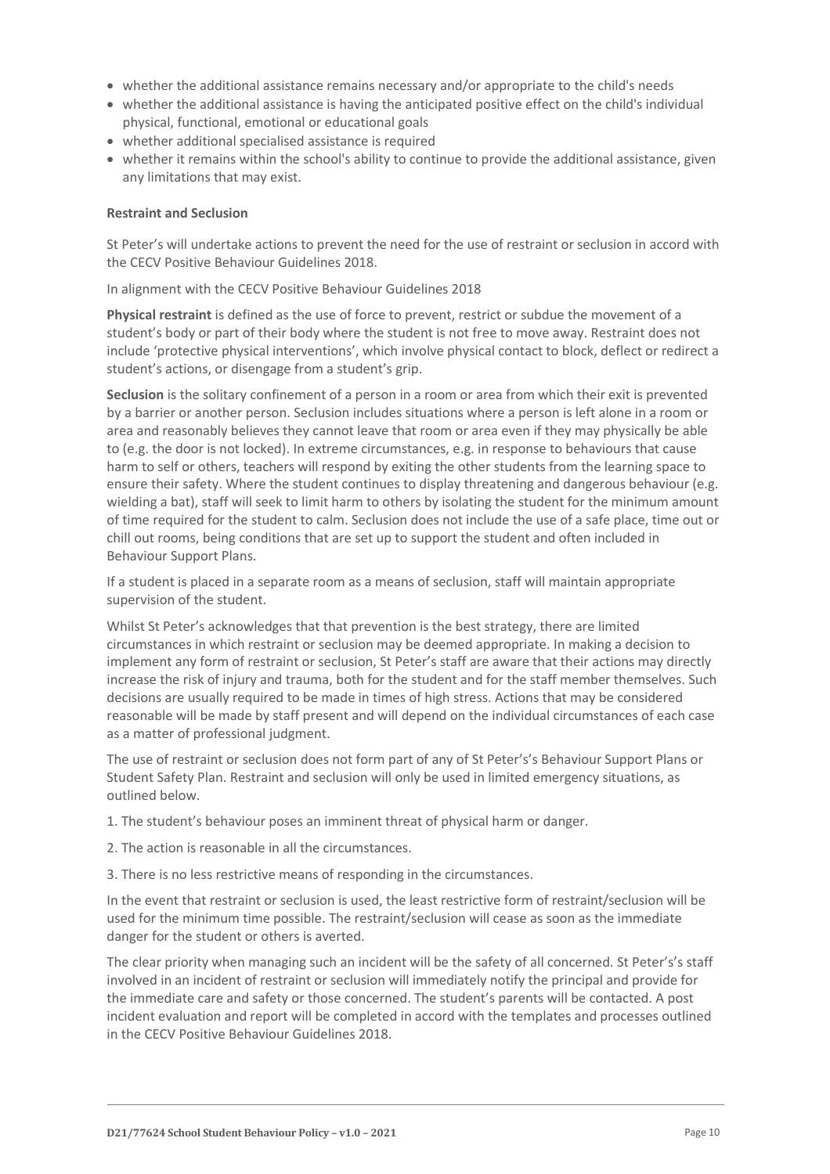- whether the additional assistance remains necessary and/or appropriate to the child's needs
- whether the additional assistance is having the anticipated positive effect on the child's individual physical, functional, emotional or educational goals
- whether additional specialised assistance is required
- whether it remains within the school's ability to continue to provide the additional assistance, given any limitations that may exist.

#### **Restraint and Seclusion**

St Peter's will undertake actions to prevent the need for the use of restraint or seclusion in accord with the CECV Positive Behaviour Guidelines 2018.

In alignment with the CECV Positive Behaviour Guidelines 2018

**Physical restraint** is defined as the use of force to prevent, restrict or subdue the movement of a student's body or part of their body where the student is not free to move away. Restraint does not include 'protective physical interventions', which involve physical contact to block, deflect or redirect a student's actions, or disengage from a student's grip.

**Seclusion** is the solitary confinement of a person in a room or area from which their exit is prevented by a barrier or another person. Seclusion includes situations where a person is left alone in a room or area and reasonably believes they cannot leave that room or area even if they may physically be able to (e.g. the door is not locked). In extreme circumstances, e.g. in response to behaviours that cause harm to self or others, teachers will respond by exiting the other students from the learning space to ensure their safety. Where the student continues to display threatening and dangerous behaviour (e.g. wielding a bat), staff will seek to limit harm to others by isolating the student for the minimum amount of time required for the student to calm. Seclusion does not include the use of a safe place, time out or chill out rooms, being conditions that are set up to support the student and often included in Behaviour Support Plans.

If a student is placed in a separate room as a means of seclusion, staff will maintain appropriate supervision of the student.

Whilst St Peter's acknowledges that that prevention is the best strategy, there are limited circumstances in which restraint or seclusion may be deemed appropriate. In making a decision to implement any form of restraint or seclusion, St Peter's staff are aware that their actions may directly increase the risk of injury and trauma, both for the student and for the staff member themselves. Such decisions are usually required to be made in times of high stress. Actions that may be considered reasonable will be made by staff present and will depend on the individual circumstances of each case as a matter of professional judgment.

The use of restraint or seclusion does not form part of any of St Peter's's Behaviour Support Plans or Student Safety Plan. Restraint and seclusion will only be used in limited emergency situations, as outlined below.

- 1. The student's behaviour poses an imminent threat of physical harm or danger.
- 2. The action is reasonable in all the circumstances.
- 3. There is no less restrictive means of responding in the circumstances.

In the event that restraint or seclusion is used, the least restrictive form of restraint/seclusion will be used for the minimum time possible. The restraint/seclusion will cease as soon as the immediate danger for the student or others is averted.

The clear priority when managing such an incident will be the safety of all concerned. St Peter's's staff involved in an incident of restraint or seclusion will immediately notify the principal and provide for the immediate care and safety or those concerned. The student's parents will be contacted. A post incident evaluation and report will be completed in accord with the templates and processes outlined in the CECV Positive Behaviour Guidelines 2018.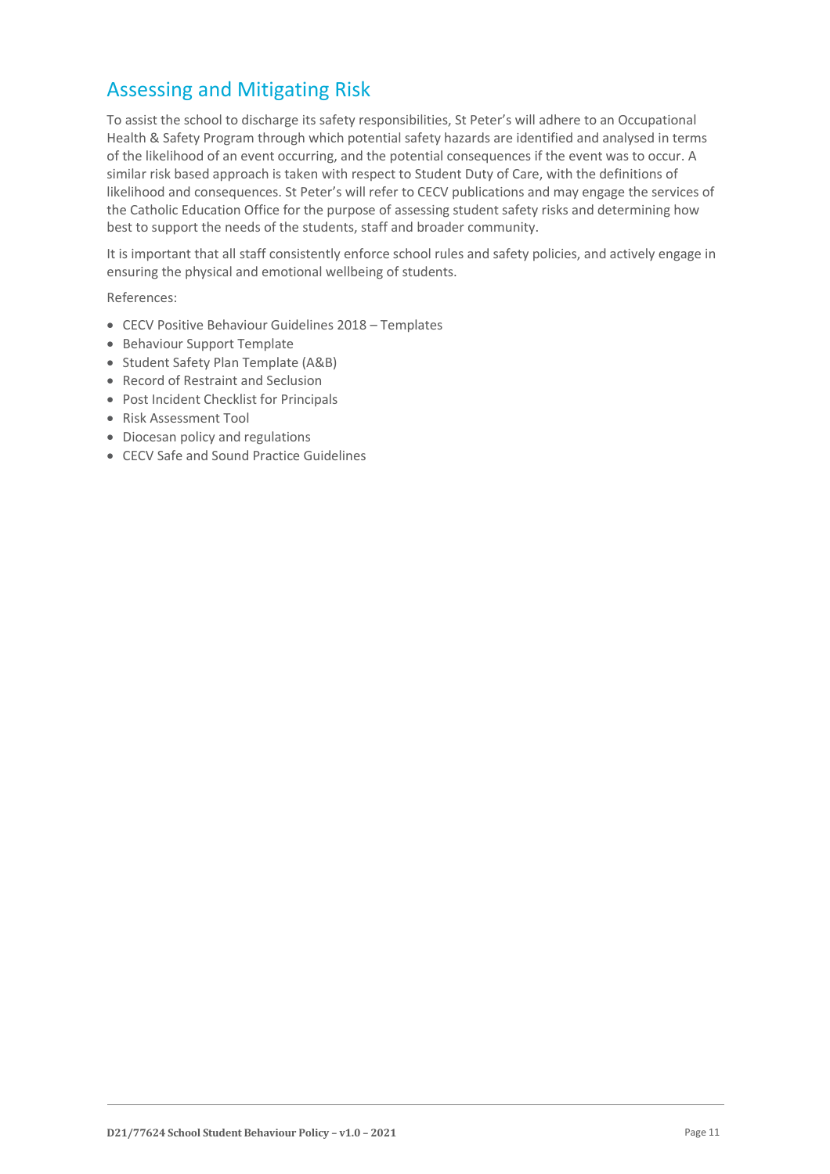# Assessing and Mitigating Risk

To assist the school to discharge its safety responsibilities, St Peter's will adhere to an Occupational Health & Safety Program through which potential safety hazards are identified and analysed in terms of the likelihood of an event occurring, and the potential consequences if the event was to occur. A similar risk based approach is taken with respect to Student Duty of Care, with the definitions of likelihood and consequences. St Peter's will refer to CECV publications and may engage the services of the Catholic Education Office for the purpose of assessing student safety risks and determining how best to support the needs of the students, staff and broader community.

It is important that all staff consistently enforce school rules and safety policies, and actively engage in ensuring the physical and emotional wellbeing of students.

References:

- CECV Positive Behaviour Guidelines 2018 Templates
- Behaviour Support Template
- Student Safety Plan Template (A&B)
- Record of Restraint and Seclusion
- Post Incident Checklist for Principals
- Risk Assessment Tool
- Diocesan policy and regulations
- CECV Safe and Sound Practice Guidelines